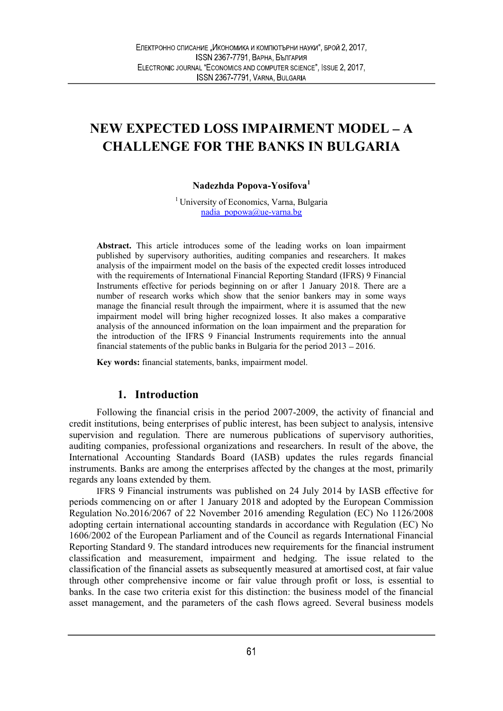# NEW EXPECTED LOSS IMPAIRMENT MODEL A CHALLENGE FOR THE BANKS IN BULGARIA

#### Nadezhda Popova-Yosifova<sup>1</sup>

<sup>1</sup> University of Economics, Varna, Bulgaria nadia\_popowa@ue-varna.bg

Abstract. This article introduces some of the leading works on loan impairment published by supervisory authorities, auditing companies and researchers. It makes analysis of the impairment model on the basis of the expected credit losses introduced with the requirements of International Financial Reporting Standard (IFRS) 9 Financial Instruments effective for periods beginning on or after 1 January 2018. There are a number of research works which show that the senior bankers may in some ways manage the financial result through the impairment, where it is assumed that the new impairment model will bring higher recognized losses. It also makes a comparative analysis of the announced information on the loan impairment and the preparation for the introduction of the IFRS 9 Financial Instruments requirements into the annual financial statements of the public banks in Bulgaria for the period  $2013 - 2016$ .

Key words: financial statements, banks, impairment model.

#### 1. Introduction

Following the financial crisis in the period 2007-2009, the activity of financial and credit institutions, being enterprises of public interest, has been subject to analysis, intensive supervision and regulation. There are numerous publications of supervisory authorities, auditing companies, professional organizations and researchers. In result of the above, the International Accounting Standards Board (IASB) updates the rules regards financial instruments. Banks are among the enterprises affected by the changes at the most, primarily regards any loans extended by them.

IFRS 9 Financial instruments was published on 24 July 2014 by IASB effective for periods commencing on or after 1 January 2018 and adopted by the European Commission Regulation No.2016/2067 of 22 November 2016 amending Regulation (EC) No 1126/2008 adopting certain international accounting standards in accordance with Regulation (EC) No 1606/2002 of the European Parliament and of the Council as regards International Financial Reporting Standard 9. The standard introduces new requirements for the financial instrument classification and measurement, impairment and hedging. The issue related to the classification of the financial assets as subsequently measured at amortised cost, at fair value through other comprehensive income or fair value through profit or loss, is essential to banks. In the case two criteria exist for this distinction: the business model of the financial asset management, and the parameters of the cash flows agreed. Several business models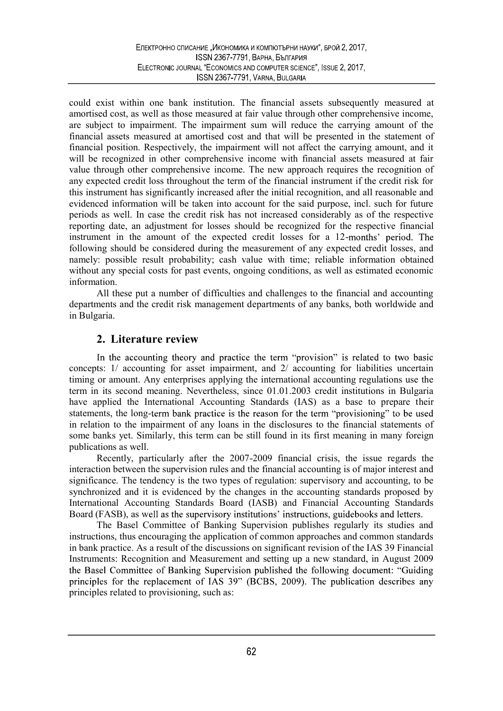could exist within one bank institution. The financial assets subsequently measured at amortised cost, as well as those measured at fair value through other comprehensive income, are subject to impairment. The impairment sum will reduce the carrying amount of the financial assets measured at amortised cost and that will be presented in the statement of financial position. Respectively, the impairment will not affect the carrying amount, and it will be recognized in other comprehensive income with financial assets measured at fair value through other comprehensive income. The new approach requires the recognition of any expected credit loss throughout the term of the financial instrument if the credit risk for this instrument has significantly increased after the initial recognition, and all reasonable and evidenced information will be taken into account for the said purpose, incl. such for future periods as well. In case the credit risk has not increased considerably as of the respective reporting date, an adjustment for losses should be recognized for the respective financial instrument in the amount of the expected credit losses for a 12-months' period. The following should be considered during the measurement of any expected credit losses, and namely: possible result probability; cash value with time; reliable information obtained without any special costs for past events, ongoing conditions, as well as estimated economic information.

All these put a number of difficulties and challenges to the financial and accounting departments and the credit risk management departments of any banks, both worldwide and in Bulgaria.

## 2. Literature review

In the accounting theory and practice the term "provision" is related to two basic concepts: 1/ accounting for asset impairment, and 2/ accounting for liabilities uncertain timing or amount. Any enterprises applying the international accounting regulations use the term in its second meaning. Nevertheless, since 01.01.2003 credit institutions in Bulgaria have applied the International Accounting Standards (IAS) as a base to prepare their statements, the long-term bank practice is the reason for the term "provisioning" to be used in relation to the impairment of any loans in the disclosures to the financial statements of some banks yet. Similarly, this term can be still found in its first meaning in many foreign publications as well.

Recently, particularly after the 2007-2009 financial crisis, the issue regards the interaction between the supervision rules and the financial accounting is of major interest and significance. The tendency is the two types of regulation: supervisory and accounting, to be synchronized and it is evidenced by the changes in the accounting standards proposed by International Accounting Standards Board (IASB) and Financial Accounting Standards Board (FASB), as well as the supervisory institutions' instructions, guidebooks and letters.

The Basel Committee of Banking Supervision publishes regularly its studies and instructions, thus encouraging the application of common approaches and common standards in bank practice. As a result of the discussions on significant revision of the IAS 39 Financial Instruments: Recognition and Measurement and setting up a new standard, in August 2009 the Basel Committee of Banking Supervision published the following document: "Guiding principles for the replacement of IAS 39" (BCBS, 2009). The publication describes any principles related to provisioning, such as: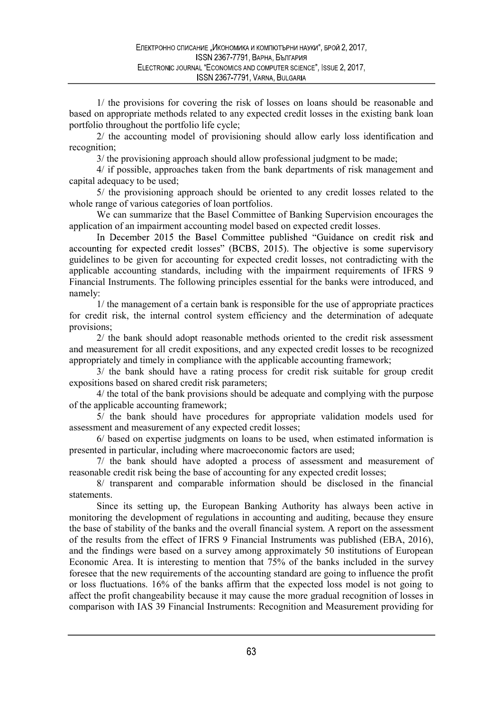1/ the provisions for covering the risk of losses on loans should be reasonable and based on appropriate methods related to any expected credit losses in the existing bank loan portfolio throughout the portfolio life cycle;

2/ the accounting model of provisioning should allow early loss identification and recognition;

3/ the provisioning approach should allow professional judgment to be made;

4/ if possible, approaches taken from the bank departments of risk management and capital adequacy to be used;

5/ the provisioning approach should be oriented to any credit losses related to the whole range of various categories of loan portfolios.

We can summarize that the Basel Committee of Banking Supervision encourages the application of an impairment accounting model based on expected credit losses.<br>In December 2015 the Basel Committee published "Guidance on credit risk and

accounting for expected credit losses" (BCBS, 2015). The objective is some supervisory guidelines to be given for accounting for expected credit losses, not contradicting with the applicable accounting standards, including with the impairment requirements of IFRS 9 Financial Instruments. The following principles essential for the banks were introduced, and namely:

1/ the management of a certain bank is responsible for the use of appropriate practices for credit risk, the internal control system efficiency and the determination of adequate provisions;

2/ the bank should adopt reasonable methods oriented to the credit risk assessment and measurement for all credit expositions, and any expected credit losses to be recognized appropriately and timely in compliance with the applicable accounting framework;

3/ the bank should have a rating process for credit risk suitable for group credit expositions based on shared credit risk parameters;

4/ the total of the bank provisions should be adequate and complying with the purpose of the applicable accounting framework;

5/ the bank should have procedures for appropriate validation models used for assessment and measurement of any expected credit losses;

6/ based on expertise judgments on loans to be used, when estimated information is presented in particular, including where macroeconomic factors are used;

7/ the bank should have adopted a process of assessment and measurement of reasonable credit risk being the base of accounting for any expected credit losses;

8/ transparent and comparable information should be disclosed in the financial statements.

Since its setting up, the European Banking Authority has always been active in monitoring the development of regulations in accounting and auditing, because they ensure the base of stability of the banks and the overall financial system. A report on the assessment of the results from the effect of IFRS 9 Financial Instruments was published (EBA, 2016), and the findings were based on a survey among approximately 50 institutions of European Economic Area. It is interesting to mention that 75% of the banks included in the survey foresee that the new requirements of the accounting standard are going to influence the profit or loss fluctuations. 16% of the banks affirm that the expected loss model is not going to affect the profit changeability because it may cause the more gradual recognition of losses in comparison with IAS 39 Financial Instruments: Recognition and Measurement providing for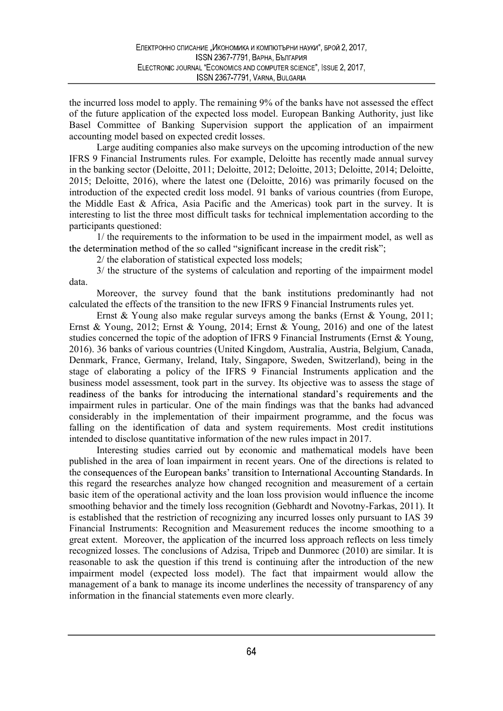the incurred loss model to apply. The remaining 9% of the banks have not assessed the effect of the future application of the expected loss model. European Banking Authority, just like Basel Committee of Banking Supervision support the application of an impairment accounting model based on expected credit losses.

Large auditing companies also make surveys on the upcoming introduction of the new IFRS 9 Financial Instruments rules. For example, Deloitte has recently made annual survey in the banking sector (Deloitte, 2011; Deloitte, 2012; Deloitte, 2013; Deloitte, 2014; Deloitte, 2015; Deloitte, 2016), where the latest one (Deloitte, 2016) was primarily focused on the introduction of the expected credit loss model. 91 banks of various countries (from Europe, the Middle East & Africa, Asia Pacific and the Americas) took part in the survey. It is interesting to list the three most difficult tasks for technical implementation according to the participants questioned:

1/ the requirements to the information to be used in the impairment model, as well as the determination method of the so called "significant increase in the credit risk";

2/ the elaboration of statistical expected loss models;

3/ the structure of the systems of calculation and reporting of the impairment model data.

Moreover, the survey found that the bank institutions predominantly had not calculated the effects of the transition to the new IFRS 9 Financial Instruments rules yet.

Ernst & Young also make regular surveys among the banks (Ernst & Young, 2011; Ernst & Young, 2012; Ernst & Young, 2014; Ernst & Young, 2016) and one of the latest studies concerned the topic of the adoption of IFRS 9 Financial Instruments (Ernst & Young, 2016). 36 banks of various countries (United Kingdom, Australia, Austria, Belgium, Canada, Denmark, France, Germany, Ireland, Italy, Singapore, Sweden, Switzerland), being in the stage of elaborating a policy of the IFRS 9 Financial Instruments application and the business model assessment, took part in the survey. Its objective was to assess the stage of readiness of the banks for introducing the international standard's requirements and the impairment rules in particular. One of the main findings was that the banks had advanced considerably in the implementation of their impairment programme, and the focus was falling on the identification of data and system requirements. Most credit institutions intended to disclose quantitative information of the new rules impact in 2017.

Interesting studies carried out by economic and mathematical models have been published in the area of loan impairment in recent years. One of the directions is related to the consequences of the European banks' transition to International Accounting Standards. In this regard the researches analyze how changed recognition and measurement of a certain basic item of the operational activity and the loan loss provision would influence the income smoothing behavior and the timely loss recognition (Gebhardt and Novotny-Farkas, 2011). It is established that the restriction of recognizing any incurred losses only pursuant to IAS 39 Financial Instruments: Recognition and Measurement reduces the income smoothing to a great extent. Moreover, the application of the incurred loss approach reflects on less timely recognized losses. The conclusions of Adzisa, Tripeb and Dunmorec (2010) are similar. It is reasonable to ask the question if this trend is continuing after the introduction of the new impairment model (expected loss model). The fact that impairment would allow the management of a bank to manage its income underlines the necessity of transparency of any information in the financial statements even more clearly.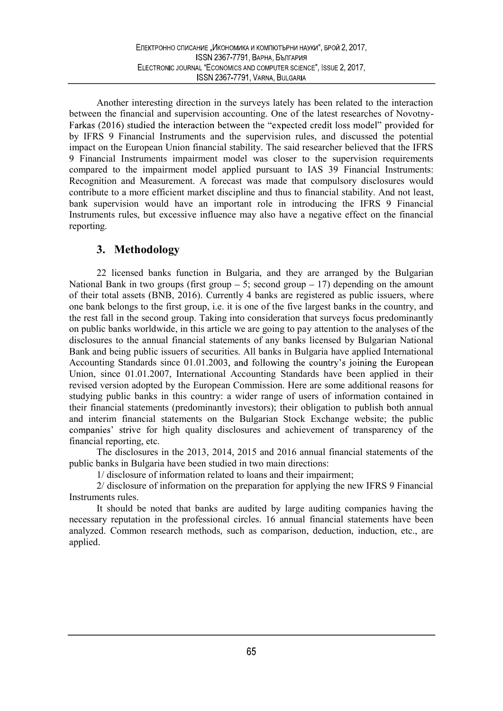Another interesting direction in the surveys lately has been related to the interaction between the financial and supervision accounting. One of the latest researches of Novotny-Farkas (2016) studied the interaction between the "expected credit loss model" provided for by IFRS 9 Financial Instruments and the supervision rules, and discussed the potential impact on the European Union financial stability. The said researcher believed that the IFRS 9 Financial Instruments impairment model was closer to the supervision requirements compared to the impairment model applied pursuant to IAS 39 Financial Instruments: Recognition and Measurement. A forecast was made that compulsory disclosures would contribute to a more efficient market discipline and thus to financial stability. And not least, bank supervision would have an important role in introducing the IFRS 9 Financial Instruments rules, but excessive influence may also have a negative effect on the financial reporting.

## 3. Methodology

22 licensed banks function in Bulgaria, and they are arranged by the Bulgarian National Bank in two groups (first group  $-5$ ; second group  $-17$ ) depending on the amount of their total assets (BNB, 2016). Currently 4 banks are registered as public issuers, where one bank belongs to the first group, i.e. it is one of the five largest banks in the country, and the rest fall in the second group. Taking into consideration that surveys focus predominantly on public banks worldwide, in this article we are going to pay attention to the analyses of the disclosures to the annual financial statements of any banks licensed by Bulgarian National Bank and being public issuers of securities. All banks in Bulgaria have applied International Accounting Standards since 01.01.2003, and following the country's joining the European Union, since 01.01.2007, International Accounting Standards have been applied in their revised version adopted by the European Commission. Here are some additional reasons for studying public banks in this country: a wider range of users of information contained in their financial statements (predominantly investors); their obligation to publish both annual and interim financial statements on the Bulgarian Stock Exchange website; the public companies' strive for high quality disclosures and achievement of transparency of the financial reporting, etc.

The disclosures in the 2013, 2014, 2015 and 2016 annual financial statements of the public banks in Bulgaria have been studied in two main directions:

1/ disclosure of information related to loans and their impairment;

2/ disclosure of information on the preparation for applying the new IFRS 9 Financial Instruments rules.

It should be noted that banks are audited by large auditing companies having the necessary reputation in the professional circles. 16 annual financial statements have been analyzed. Common research methods, such as comparison, deduction, induction, etc., are applied.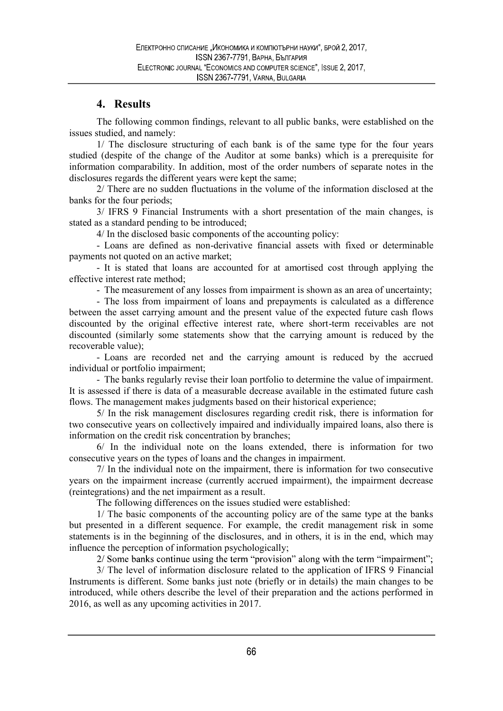# 4. Results

The following common findings, relevant to all public banks, were established on the issues studied, and namely:

1/ The disclosure structuring of each bank is of the same type for the four years studied (despite of the change of the Auditor at some banks) which is a prerequisite for information comparability. In addition, most of the order numbers of separate notes in the disclosures regards the different years were kept the same;

2/ There are no sudden fluctuations in the volume of the information disclosed at the banks for the four periods;

3/ IFRS 9 Financial Instruments with a short presentation of the main changes, is stated as a standard pending to be introduced;

4/ In the disclosed basic components of the accounting policy:

- Loans are defined as non-derivative financial assets with fixed or determinable payments not quoted on an active market;

- It is stated that loans are accounted for at amortised cost through applying the effective interest rate method;

- The measurement of any losses from impairment is shown as an area of uncertainty;

- The loss from impairment of loans and prepayments is calculated as a difference between the asset carrying amount and the present value of the expected future cash flows discounted by the original effective interest rate, where short-term receivables are not discounted (similarly some statements show that the carrying amount is reduced by the recoverable value);

- Loans are recorded net and the carrying amount is reduced by the accrued individual or portfolio impairment;

- The banks regularly revise their loan portfolio to determine the value of impairment. It is assessed if there is data of a measurable decrease available in the estimated future cash flows. The management makes judgments based on their historical experience;

5/ In the risk management disclosures regarding credit risk, there is information for two consecutive years on collectively impaired and individually impaired loans, also there is information on the credit risk concentration by branches;

6/ In the individual note on the loans extended, there is information for two consecutive years on the types of loans and the changes in impairment.

7/ In the individual note on the impairment, there is information for two consecutive years on the impairment increase (currently accrued impairment), the impairment decrease (reintegrations) and the net impairment as a result.

The following differences on the issues studied were established:

1/ The basic components of the accounting policy are of the same type at the banks but presented in a different sequence. For example, the credit management risk in some statements is in the beginning of the disclosures, and in others, it is in the end, which may influence the perception of information psychologically;

2/ Some banks continue using the term "provision" along with the term "impairment";

3/ The level of information disclosure related to the application of IFRS 9 Financial Instruments is different. Some banks just note (briefly or in details) the main changes to be introduced, while others describe the level of their preparation and the actions performed in 2016, as well as any upcoming activities in 2017.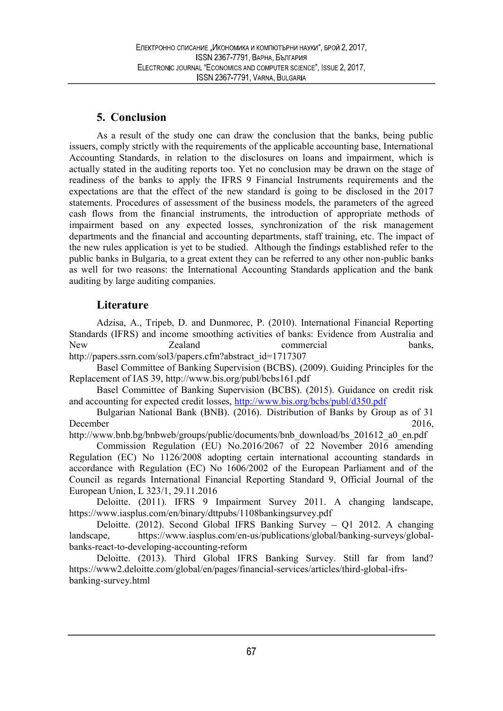## 5. Conclusion

As a result of the study one can draw the conclusion that the banks, being public issuers, comply strictly with the requirements of the applicable accounting base, International Accounting Standards, in relation to the disclosures on loans and impairment, which is actually stated in the auditing reports too. Yet no conclusion may be drawn on the stage of readiness of the banks to apply the IFRS 9 Financial Instruments requirements and the expectations are that the effect of the new standard is going to be disclosed in the 2017 statements. Procedures of assessment of the business models, the parameters of the agreed cash flows from the financial instruments, the introduction of appropriate methods of impairment based on any expected losses, synchronization of the risk management departments and the financial and accounting departments, staff training, etc. The impact of the new rules application is yet to be studied. Although the findings established refer to the public banks in Bulgaria, to a great extent they can be referred to any other non-public banks as well for two reasons: the International Accounting Standards application and the bank auditing by large auditing companies.

## **Literature**

Adzisa, A., Tripeb, D. and Dunmorec, P. (2010). International Financial Reporting Standards (IFRS) and income smoothing activities of banks: Evidence from Australia and New Zealand commercial banks, http://papers.ssrn.com/sol3/papers.cfm?abstract\_id=1717307

Basel Committee of Banking Supervision (BCBS). (2009). Guiding Principles for the Replacement of IAS 39, http://www.bis.org/publ/bcbs161.pdf

Basel Committee of Banking Supervision (BCBS). (2015). Guidance on credit risk and accounting for expected credit losses, http://www.bis.org/bcbs/publ/d350.pdf

Bulgarian National Bank (BNB). (2016). Distribution of Banks by Group as of 31 December 2016,

http://www.bnb.bg/bnbweb/groups/public/documents/bnb\_download/bs\_201612\_a0\_en.pdf

Commission Regulation (EU) No.2016/2067 of 22 November 2016 amending Regulation (EC) No 1126/2008 adopting certain international accounting standards in accordance with Regulation (EC) No 1606/2002 of the European Parliament and of the Council as regards International Financial Reporting Standard 9, Official Journal of the European Union, L 323/1, 29.11.2016

Deloitte. (2011). IFRS 9 Impairment Survey 2011. A changing landscape, https://www.iasplus.com/en/binary/dttpubs/1108bankingsurvey.pdf

Deloitte. (2012). Second Global IFRS Banking Survey - Q1 2012. A changing landscape, https://www.iasplus.com/en-us/publications/global/banking-surveys/globalbanks-react-to-developing-accounting-reform

Deloitte. (2013). Third Global IFRS Banking Survey. Still far from land? https://www2.deloitte.com/global/en/pages/financial-services/articles/third-global-ifrsbanking-survey.html